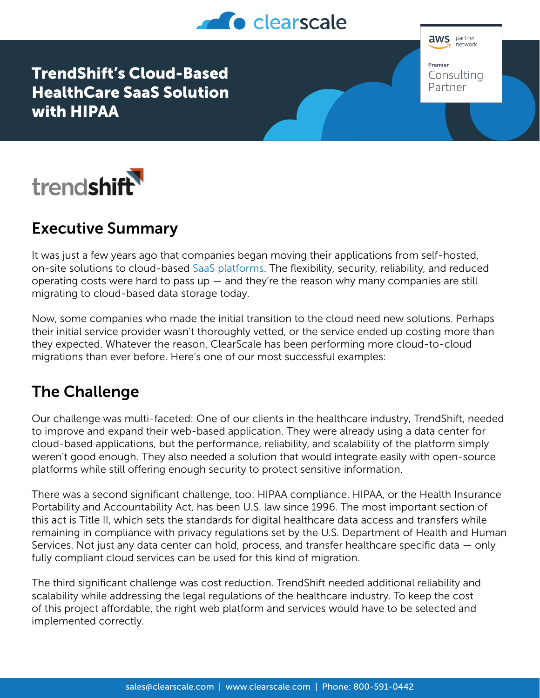

TrendShift's Cloud-Based HealthCare SaaS Solution with HIPAA





# Executive Summary

It was just a few years ago that companies began moving their applications from self-hosted, on-site solutions to cloud-based [SaaS platforms](https://www.clearscale.com/services/saas-application-development/). The flexibility, security, reliability, and reduced operating costs were hard to pass  $up -$  and they're the reason why many companies are still migrating to cloud-based data storage today.

Now, some companies who made the initial transition to the cloud need new solutions. Perhaps their initial service provider wasn't thoroughly vetted, or the service ended up costing more than they expected. Whatever the reason, ClearScale has been performing more cloud-to-cloud migrations than ever before. Here's one of our most successful examples:

## The Challenge

Our challenge was multi-faceted: One of our clients in the healthcare industry, TrendShift, needed to improve and expand their web-based application. They were already using a data center for cloud-based applications, but the performance, reliability, and scalability of the platform simply weren't good enough. They also needed a solution that would integrate easily with open-source platforms while still offering enough security to protect sensitive information.

There was a second significant challenge, too: HIPAA compliance. HIPAA, or the Health Insurance Portability and Accountability Act, has been U.S. law since 1996. The most important section of this act is Title II, which sets the standards for digital healthcare data access and transfers while remaining in compliance with privacy regulations set by the U.S. Department of Health and Human Services. Not just any data center can hold, process, and transfer healthcare specific data — only fully compliant cloud services can be used for this kind of migration.

The third significant challenge was cost reduction. TrendShift needed additional reliability and scalability while addressing the legal regulations of the healthcare industry. To keep the cost of this project affordable, the right web platform and services would have to be selected and implemented correctly.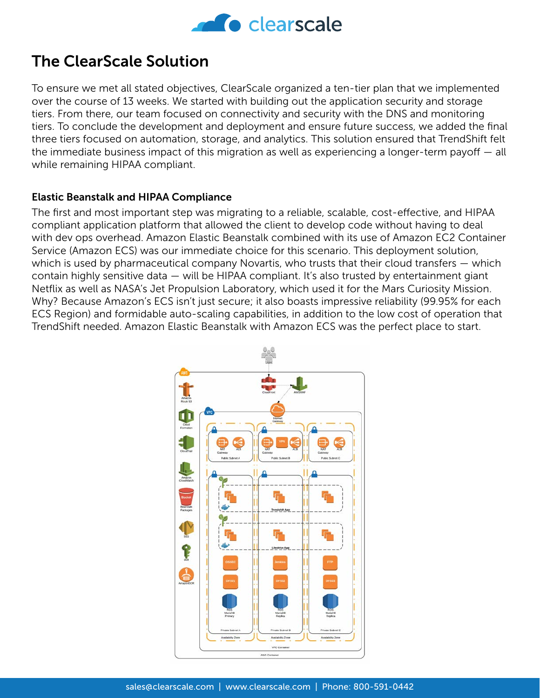

## The ClearScale Solution

To ensure we met all stated objectives, ClearScale organized a ten-tier plan that we implemented over the course of 13 weeks. We started with building out the application security and storage tiers. From there, our team focused on connectivity and security with the DNS and monitoring tiers. To conclude the development and deployment and ensure future success, we added the final three tiers focused on automation, storage, and analytics. This solution ensured that TrendShift felt the immediate business impact of this migration as well as experiencing a longer-term payoff — all while remaining HIPAA compliant.

#### Elastic Beanstalk and HIPAA Compliance

The first and most important step was migrating to a reliable, scalable, cost-effective, and HIPAA compliant application platform that allowed the client to develop code without having to deal with dev ops overhead. Amazon Elastic Beanstalk combined with its use of Amazon EC2 Container Service (Amazon ECS) was our immediate choice for this scenario. This deployment solution, which is used by pharmaceutical company Novartis, who trusts that their cloud transfers — which contain highly sensitive data — will be HIPAA compliant. It's also trusted by entertainment giant Netflix as well as NASA's Jet Propulsion Laboratory, which used it for the Mars Curiosity Mission. Why? Because Amazon's ECS isn't just secure; it also boasts impressive reliability (99.95% for each ECS Region) and formidable auto-scaling capabilities, in addition to the low cost of operation that TrendShift needed. Amazon Elastic Beanstalk with Amazon ECS was the perfect place to start.

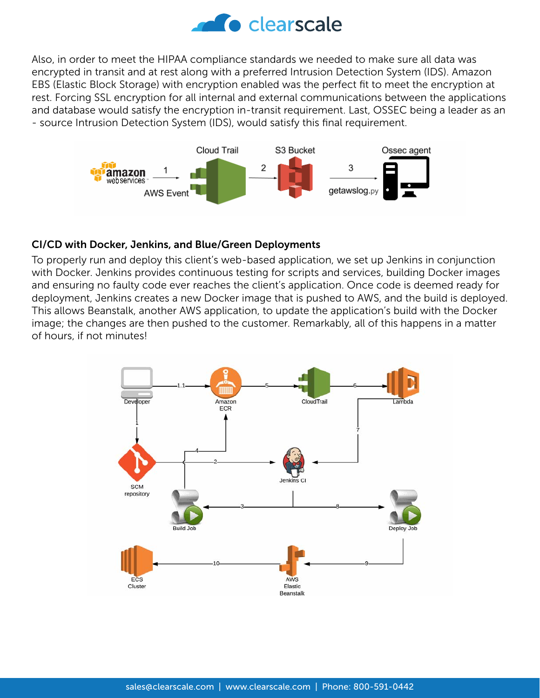

Also, in order to meet the HIPAA compliance standards we needed to make sure all data was encrypted in transit and at rest along with a preferred Intrusion Detection System (IDS). Amazon EBS (Elastic Block Storage) with encryption enabled was the perfect fit to meet the encryption at rest. Forcing SSL encryption for all internal and external communications between the applications and database would satisfy the encryption in-transit requirement. Last, OSSEC being a leader as an - source Intrusion Detection System (IDS), would satisfy this final requirement.



#### CI/CD with Docker, Jenkins, and Blue/Green Deployments

To properly run and deploy this client's web-based application, we set up Jenkins in conjunction with Docker. Jenkins provides continuous testing for scripts and services, building Docker images and ensuring no faulty code ever reaches the client's application. Once code is deemed ready for deployment, Jenkins creates a new Docker image that is pushed to AWS, and the build is deployed. This allows Beanstalk, another AWS application, to update the application's build with the Docker image; the changes are then pushed to the customer. Remarkably, all of this happens in a matter of hours, if not minutes!